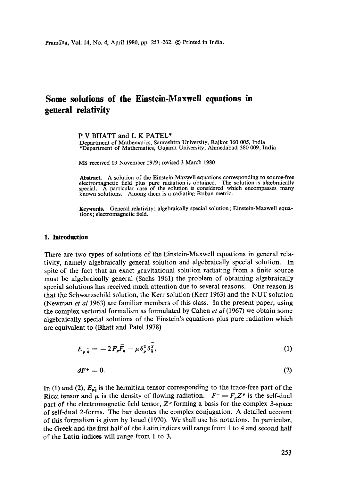# **Some solutions of the Einstein-Maxwell equations in general relativity**

#### P V BHATT and L K PATEL\*

Department of Mathematics, Saurashtra University, Rajkot 360 005, India \*Department of Mathematics, Gujarat University, Ahmedabad 380 009, India

MS received 19 November 1979; revised 3 March 1980

**Abstract.** A solution of the Einstein-Maxwell equations corresponding to source-free electromagnetic field plus pure radiation is obtained. The solution is algebraically special. A particular case of the solution is considered which encompasses many known solutions. Among them is a radiating Ruban metric.

Keywords. General relativity; algebraically special solution; Einstein-Maxwell equations; electromagnetic field.

#### **1. Introduction**

There are two types of solutions of the Einstein-Maxwell equations in general relativity, namely algebraically general solution and algebraically special solution. In spite of the fact that an exact gravitational solution radiating from a finite source must be algebraically general (Sachs 1961) the problem of obtaining algebraically special solutions has received much attention due to several reasons. One reason is that the Schwarzschild solution, the Kerr solution (Kerr 1963) and the NUT solution (Newman *et al* 1963) are familiar members of this class. In the present paper, using the complex vectorial formalism as formulated by Cahen *et al* (1967) we obtain some algebraically special solutions of the Einstein's equations plus pure radiation which are equivalent to (Bkatt and Patel 1978)

$$
E_{p\,\overline{q}} = -2F_p\overline{F}_q - \mu \delta_p^2 \delta_{\overline{q}}^2,\tag{1}
$$

$$
dF^+=0.\t\t(2)
$$

In (1) and (2),  $E_{\bar{p}\bar{q}}$  is the hermitian tensor corresponding to the trace-free part of the Ricci tensor and  $\mu$  is the density of flowing radiation.  $F^+ = F_p Z^p$  is the self-dual part of the electromagnetic field tensor,  $Z^p$  forming a basis for the complex 3-space of self-dual 2-forms. The bar denotes the complex conjugation. A detailed account of this formalism is given by Israel (1970). We shall use his notations. In particular, the Greek and the first hail of the Latin indices will range from 1 to 4 and second half of the Latin indices will range from 1 to 3.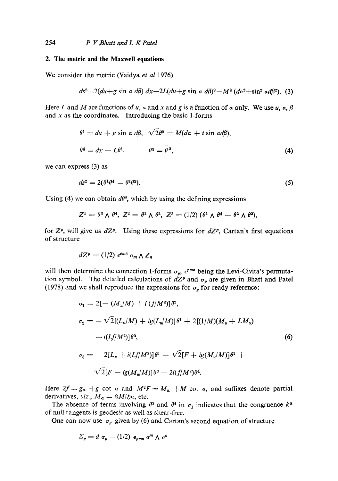#### **2. The metric and the Maxwell equations**

We consider the metric (Vaidya *et al* 1976)

$$
ds2=2(du+g\sin a\ d\beta)\ dx-2L(du+g\sin a\ d\beta)^{2}-M^{2}(da^{2}+\sin^{2}ad\beta^{2}).
$$
 (3)

Here L and M are functions of u, a and x and g is a function of  $\alpha$  only. We use u,  $\alpha$ ,  $\beta$ and  $x$  as the coordinates. Introducing the basic 1-forms

$$
\theta^1 = du + g \sin \alpha \, d\beta, \quad \sqrt{2}\theta^2 = M(d\alpha + i \sin \alpha d\beta),
$$
  

$$
\theta^4 = dx - L\theta^1, \qquad \theta^3 = \bar{\theta}^2,
$$
 (4)

we can express (3) as

$$
ds^2 = 2(\theta^1 \theta^4 - \theta^2 \theta^3). \tag{5}
$$

Using (4) we can obtain  $d\theta^a$ , which by using the defining expressions

$$
Z^1 = \theta^3 \wedge \theta^4, \ Z^2 = \theta^1 \wedge \theta^2, \ Z^3 = (1/2) (\theta^1 \wedge \theta^4 - \theta^2 \wedge \theta^3),
$$

for  $Z^p$ , will give us  $dZ^p$ . Using these expressions for  $dZ^p$ , Cartan's first equations of structure

$$
dZ^p = (1/2) \epsilon^{pm} \sigma_m \wedge Z_n
$$

will then determine the connection 1-forms  $\sigma_p$ ,  $\epsilon^{pmn}$  being the Levi-Civita's permutation symbol. The detailed calculations of  $dZ^p$  and  $\sigma_p$  are given in Bhatt and Patel (1978) and we shall reproduce the expressions for  $\sigma_p$  for ready reference:

$$
\sigma_1 = 2[- (M_x/M) + i (f/M^2)]\theta^2,
$$
  
\n
$$
\sigma_2 = -\sqrt{2}[(L_a/M) + ig(L_u/M)]\theta^1 + 2[(1/M)(M_u + LM_x)]
$$
  
\n
$$
-i(Lf/M^2)]\theta^3,
$$
  
\n
$$
\sigma_3 = -2[L_x + i(Lf/M^2)]\theta^1 - \sqrt{2}[F + ig(M_u/M)]\theta^2 +
$$
  
\n
$$
\sqrt{2}[F - ig(M_u/M)]\theta^3 + 2i(f/M^2)\theta^4.
$$
\n(6)

Here  $2f = g_a + g$  cot a and  $M^2F = M_a + M$  cot a, and suffixes denote partial derivatives, *viz.*,  $M_a = \partial M/\partial a$ , etc.

The absence of terms involving  $\theta^3$  and  $\theta^4$  in  $\sigma_1$  indicates that the congruence  $k^a$ of null tangents is geodesic as well as shear-free.

One can now use  $\sigma_p$  given by (6) and Cartan's second equation of structure

$$
\Sigma_p = d \sigma_p - (1/2) e_{pmn} \sigma^m \wedge \sigma^n
$$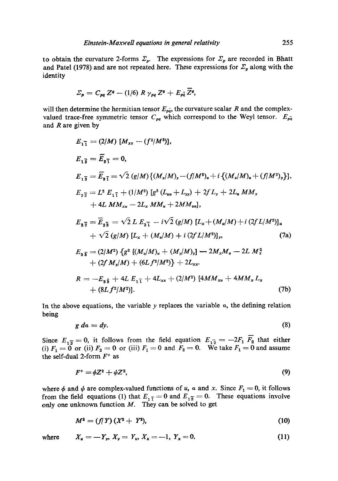to obtain the curvature 2-forms  $\Sigma_p$ . The expressions for  $\Sigma_p$  are recorded in Bhatt and Patel (1978) and are not repeated here. These expressions for  $\Sigma_p$  along with the identity

$$
\Sigma_p = C_{pq} Z^q - (1/6) R \gamma_{pq} Z^q + E_{pq} \overline{Z}^q,
$$

will then determine the hermitian tensor  $E_{p\bar{q}}$ , the curvature scalar R and the complexvalued trace-free symmetric tensor  $C_{pq}$  which correspond to the Weyl tensor.  $E_{pq}$ and  $R$  are given by

$$
E_{1\bar{1}} = (2/M) [M_{xx} - (f^2/M^3)],
$$
  
\n
$$
E_{1\bar{2}} = \bar{E}_{2\bar{1}} = 0,
$$
  
\n
$$
E_{1\bar{3}} = \bar{E}_{3\bar{1}} = \sqrt{2} (g/M) \{ (M_x/M)_y - (f/M^2)_u + i \{ (M_x/M)_u + (f/M^2)_y \} \},
$$
  
\n
$$
E_{2\bar{2}} = L^2 E_{1\bar{1}} + (1/M^2) [g^2 (L_{uu} + L_{yy}) + 2f L_y + 2L_u M M_x
$$
  
\n
$$
+ 4L M M_{xu} - 2L_x M M_u + 2M M_{uu}],
$$
  
\n
$$
E_{3\bar{2}} = \bar{E}_{2\bar{3}} = \sqrt{2} L E_{3\bar{1}} - i\sqrt{2} (g/M) [L_x + (M_u/M) + i (2f L/M^2)]_u
$$
  
\n
$$
+ \sqrt{2} (g/M) [L_x + (M_u/M) + i (2f L/M^2)]_y,
$$
  
\n
$$
E_{3\bar{3}} = (2/M^2) \{ g^2 [ (M_u/M)_u + (M_y/M)_y ] - 2M_x M_u - 2L M_x^2
$$
  
\n
$$
+ (2f M_y/M) + (6L f^2/M^2) \} + 2L_{xx}.
$$
  
\n
$$
R = -E_{3\bar{3}} + 4L E_{1\bar{1}} + 4L_{xx} + (2/M^2) [4M M_{xu} + 4M M_x L_x
$$
  
\n
$$
+ (8L f^2/M^2)].
$$
  
\n(7b)

In the above equations, the variable y replaces the variable  $\alpha$ , the defining relation being

$$
g\,d\alpha = dy.\tag{8}
$$

 $E_{12} = -2F_1 \overline{F_2}$  that either We take  $F_1 = 0$  and assume Since  $E_{1\overline{2}} = 0$ , it follows from the field equation (i)  $F_1=0$  or (ii)  $F_2=0$  or (iii)  $F_1=0$  and  $F_2=0$ . the self-dual 2-form  $F^+$  as

$$
F^+ = \phi Z^2 + \psi Z^3,\tag{9}
$$

where  $\phi$  and  $\psi$  are complex-valued functions of u, a and x. Since  $F_1 = 0$ , it follows from the field equations (1) that  $E_{1\bar{1}} = 0$  and  $E_{1\bar{3}} = 0$ . These equations involve only one unknown function  $M$ . They can be solved to get

$$
M^2 = (f/T)(X^2 + Y^2), \tag{10}
$$

where 
$$
X_u = -Y_v
$$
,  $X_v = Y_u$ ,  $X_x = -1$ ,  $Y_x = 0$ , (11)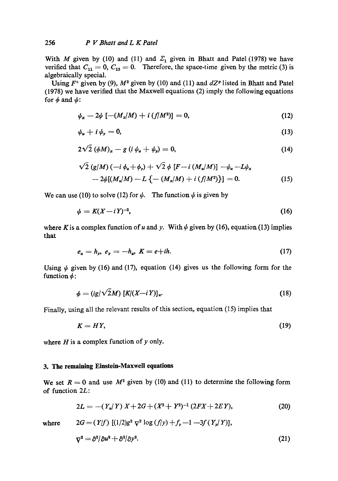With M given by (10) and (11) and  $\Sigma_1$  given in Bhatt and Patel (1978) we have verified that  $C_{11} = 0$ ,  $C_{13} = 0$ . Therefore, the space-time given by the metric (3) is algebraically special.

Using  $F^+$  given by (9),  $M^2$  given by (10) and (11) and  $dZ^p$  listed in Bhatt and Patel (1978) we have verified that the Maxwell equations (2) imply the following equations for  $\phi$  and  $\psi$ :

$$
\psi_x - 2\psi \left[ -(M_x/M) + i \left( f/M^2 \right) \right] = 0, \tag{12}
$$

$$
\psi_u + i \psi_v = 0, \tag{13}
$$

$$
2\sqrt{2} \left(\phi M\right)_x - g \left(i \phi_u + \phi_y\right) = 0, \tag{14}
$$

$$
\sqrt{2} (g/M) (-i \phi_u + \phi_y) + \sqrt{2} \phi [F - i (M_u/M)] - \psi_u - L \psi_x - 2 \psi [(M_u/M) - L \{ - (M_x/M) + i (f/M^2) \}] = 0.
$$
 (15)

We can use (10) to solve (12) for  $\psi$ . The function  $\psi$  is given by

$$
\psi = K(X - iY)^{-2},\tag{16}
$$

where K is a complex function of u and y. With  $\psi$  given by (16), equation (13) implies that

$$
e_u = h_y, \ e_y = -h_u, \ K = e + ih. \tag{17}
$$

Using  $\psi$  given by (16) and (17), equation (14) gives us the following form for the function  $\phi$ :

$$
\phi = (ig/\sqrt{2}M) \left[ K/(X-iY) \right]_u. \tag{18}
$$

Finally, using all the relevant results of this section, equation (15) implies that

$$
K = HY,\tag{19}
$$

where  $H$  is a complex function of  $y$  only.

# **3. The remaining Einstein-Maxwell equations**

We set  $R = 0$  and use  $M^2$  given by (10) and (11) to determine the following form of function 2L:

 $2G = (Y/f)$   $[(1/2)g^2 \nabla^2 \log (f/y) + f_y - 1 -3f(Y_y/Y)],$ 

$$
2L = -(Y_u/Y) X + 2G + (X^2 + Y^2)^{-1} (2FX + 2EY), \qquad (20)
$$

where

$$
\nabla^2 = \frac{\partial^2}{\partial u^2} + \frac{\partial^2}{\partial y^2}.\tag{21}
$$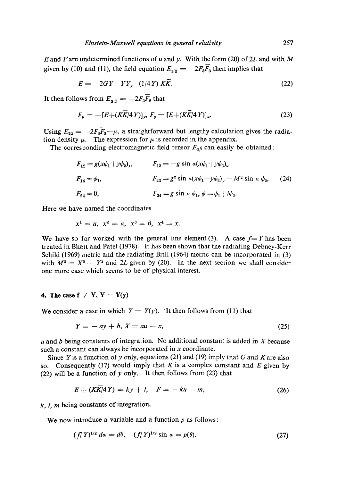E and F are undetermined functions of u and y. With the form (20) of 2L and with M given by (10) and (11), the field equation  $E_{3\bar{3}} = -2F_3\bar{F}_3$  then implies that

$$
E = -2GY - YY_y - (1/4Y) K\overline{K}.
$$
\n
$$
(22)
$$

It then follows from  $E_{3\bar{2}} = -2F_3\bar{F}_2$  that

$$
F_u = -[E + (K\overline{K}/4Y)]_y, F_y = [E + (K\overline{K}/4Y)]_u.
$$
 (23)

Using  $E_{22} = -2F_2\overline{F_2}-\mu$ , a straightforward but lengthy calculation gives the radiation density  $\mu$ . The expression for  $\mu$  is recorded in the appendix.

The corresponding electromagnetic field tensor  $F_{\alpha\beta}$  can easily be obtained:

$$
F_{12} = g(x\psi_1 + y\psi_2), \qquad F_{13} = -g \sin a(x\psi_1 + y\psi_2)_u
$$
  
\n
$$
F_{14} = \psi_1, \qquad F_{23} = g^2 \sin a(x\psi_1 + y\psi_2)_y - M^2 \sin a \psi_2, \qquad (24)
$$
  
\n
$$
F_{24} = 0, \qquad F_{34} = g \sin a \psi_1, \psi = \psi_1 + i\psi_2.
$$

Here we have named the coordinates

$$
x^1 = u, \ x^2 = a, \ x^3 = \beta, \ x^4 = x.
$$

We have so far worked with the general line element (3). A case  $f = Y$  has been treated in Bhatt and PateI (1978). It has been shown that the radiating Debney-Kerr Sehild (1969) metric and the radiating Brill (1964) metric can be incorporated in (3) with  $M^2 = X^2 + Y^2$  and 2L given by (20). In the next section we shall consider one more case which seems to be of physical interest.

#### 4. The case  $f \neq Y$ ,  $Y = Y(y)$

We consider a case in which  $Y = Y(y)$ . It then follows from (11) that

$$
Y = -ay + b, X = au - x,\tag{25}
$$

 $a$  and  $b$  being constants of integration. No additional constant is added in  $X$  because such a constant can always be incorporated in x coordinate.

Since Y is a function of y only, equations (21) and (19) imply that G and K are also so. Consequently (17) would imply that  $K$  is a complex constant and  $E$  given by (22) will be a function of y only. It then follows from  $(23)$  that

$$
E + (KK/4Y) = ky + l, \quad F = -ku - m,\tag{26}
$$

 $k, l, m$  being constants of integration.

We now introduce a variable and a function  $p$  as follows:

$$
(f|Y)^{1/2} \, d\alpha = d\theta, \quad (f|Y)^{1/2} \sin \alpha = p(\theta). \tag{27}
$$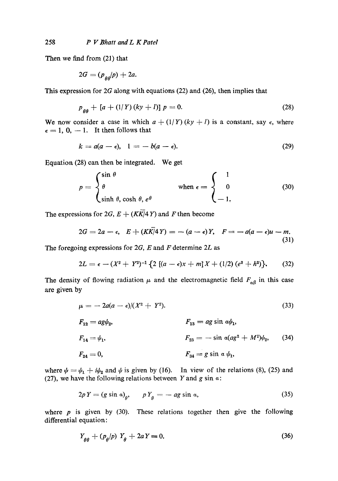Then we find from (21) that

$$
2G=(p_{\text{AA}}/p)+2a.
$$

This expression for 2G along with equations (22) and (26), then implies that

$$
p_{aa} + [a + (1/Y)(ky + I)] p = 0.
$$
 (28)

We now consider a case in which  $a + (1/Y)(ky + l)$  is a constant, say  $\epsilon$ , where  $\epsilon = 1, 0, -1$ . It then follows that

$$
k = a(a - \epsilon), \quad 1 = -b(a - \epsilon). \tag{29}
$$

Equation (28) can then be integrated. We get

$$
p = \begin{cases} \sin \theta \\ \theta \\ \sinh \theta, \cosh \theta, e^{\theta} \end{cases} \qquad \text{when } \epsilon = \begin{cases} 1 \\ 0 \\ -1, \end{cases}
$$
 (30)

The expressions for  $2G$ ,  $E + (K\overline{K}/4Y)$  and F then become

$$
2G = 2a - \epsilon, \quad E + (K\overline{K})^2 Y = -(a - \epsilon)Y, \quad F = -a(a - \epsilon)u - m.
$$
\n(31)

The foregoing expressions for  $2G$ , E and F determine  $2L$  as

$$
2L = \epsilon - (X^2 + Y^2)^{-1} \{ 2 [(a - \epsilon)x + m] X + (1/2) (e^2 + h^2) \}.
$$
 (32)

The density of flowing radiation  $\mu$  and the electromagnetic field  $F_{\alpha\beta}$  in this case are given by

$$
\mu = -2a(a-\epsilon)/(X^2+Y^2). \tag{33}
$$

$$
F_{12} = ag\psi_2,
$$
  
\n
$$
F_{13} = ag \sin \alpha \psi_1,
$$
  
\n
$$
F_{14} = \psi_1,
$$
  
\n
$$
F_{24} = 0,
$$
  
\n
$$
F_{34} = g \sin \alpha \psi_1,
$$
  
\n
$$
F_{34} = g \sin \alpha \psi_1,
$$
  
\n(34)

where  $\psi = \psi_1 + i\psi_2$  and  $\psi$  is given by (16). In view of the relations (8), (25) and (27), we have the following relations between Y and g sin  $\alpha$ :

$$
2pY = (g\sin a)_\theta, \qquad pY_\theta = -ag\sin a,\tag{35}
$$

where  $p$  is given by (30). These relations together then give the following differential equation:

$$
Y_{\theta\theta} + (p_{\theta}/p) Y_{\theta} + 2aY = 0. \tag{36}
$$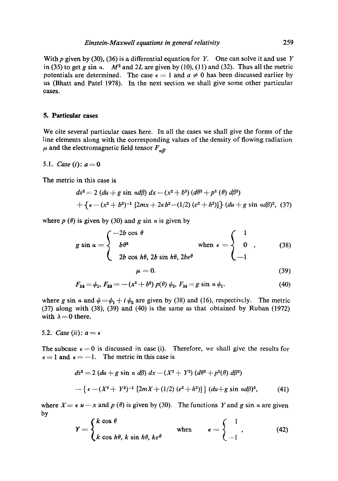With p given by (30), (36) is a differential equation for Y. One can solve it and use Y in (35) to get g sin  $\alpha$ .  $M^2$  and 2L are given by (10), (11) and (32). Thus all the metric potentials are determined. The case  $\epsilon = 1$  and  $a \neq 0$  has been discussed earlier by us (Bhatt and Patel 1978). In the next section we shall give some other particular cases.

#### **5. Particular cases**

We cite several particular cases here. In all the cases we shall give the forms of the line elements along with the corresponding values of the density of flowing radiation  $\mu$  and the electromagnetic field tensor  $F_{\alpha\beta}$ .

*5.1. Case* (*i*):  $a = 0$ 

The metric in this case is

$$
ds^{2} = 2 (du + g \sin \alpha d\beta) dx - (x^{2} + b^{2}) (d\theta^{2} + p^{2} (\theta) d\beta^{2})
$$
  
+ { $\epsilon - (x^{2} + b^{2})^{-1}$  [2mx + 2 $\epsilon$ b<sup>2</sup>-(1/2) ( $e^{2} + h^{2}$ )] } (du + g \sin \alpha d\beta)^{2}, (37)

where  $p(\theta)$  is given by (30) and g sin a is given by

$$
g \sin \alpha = \begin{cases} -2b \cos \theta \\ b\theta^2 \end{cases} \quad \text{when } \epsilon = \begin{cases} 1 \\ 0 \\ -1 \end{cases}
$$
 (38)

$$
\mu = 0. \tag{39}
$$

$$
F_{14} = \psi_1, F_{23} = -(x^2 + b^2) p(\theta) \psi_2, F_{34} = g \sin \alpha \psi_1.
$$
 (40)

where g sin  $\alpha$  and  $\psi = \psi_1 + i \psi_2$  are given by (38) and (16), respectively. The metric (37) along with (38), (39) and (40) is the same as that obtained by Ruban (1972) with  $\lambda = 0$  there.

5.2. *Case* (ii):  $a = \epsilon$ 

The subcase  $\epsilon = 0$  is discussed in case (i). Therefore, we shall give the results for  $\epsilon = 1$  and  $\epsilon = -1$ . The metric in this case is

$$
ds^{2} = 2 (du + g \sin \alpha d\beta) dx - (X^{2} + Y^{2}) (d\theta^{2} + p^{2}(\theta) d\beta^{2})
$$
  
- {  $\epsilon - (X^{2} + Y^{2})^{-1} [2mX + (1/2) (e^{2} + h^{2})] \} (du + g \sin \alpha d\beta)^{2}$ , (41)

where  $X = \epsilon u - x$  and p ( $\theta$ ) is given by (30). The functions Y and g sin a are given by

$$
Y = \begin{cases} k \cos \theta \\ k \cos h\theta, \, k \sin h\theta, \, ke^{\theta} \end{cases} \quad \text{when} \quad \epsilon = \begin{cases} 1 \\ -1 \end{cases}, \tag{42}
$$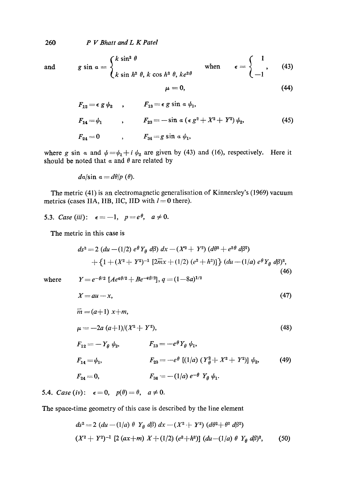260 *P V Bhatt and L K Patel* 

and 
$$
g \sin \alpha = \begin{cases} k \sin^2 \theta \\ k \sin h^2 \theta, k \cos h^2 \theta, ke^{2\theta} \end{cases}
$$
 when  $\epsilon = \begin{cases} 1 \\ -1 \end{cases}$  (43)

$$
\mu = 0, \tag{44}
$$

$$
F_{12} = \epsilon g \psi_2 , \qquad F_{13} = \epsilon g \sin \alpha \psi_1 ,
$$
  
\n
$$
F_{14} = \psi_1 , \qquad F_{23} = -\sin \alpha (\epsilon g^2 + X^2 + Y^2) \psi_2 ,
$$
  
\n
$$
F_{24} = 0 , \qquad F_{34} = g \sin \alpha \psi_1 ,
$$
  
\n(45)

where g sin a and  $\psi = \psi_1 + i \psi_2$  are given by (43) and (16), respectively. Here it should be noted that  $\alpha$  and  $\theta$  are related by

$$
da/\sin a = d\theta/p \;(\theta).
$$

The metric (41) is an electromagnetic generalisation of Kinnersley's (1969) vacuum metrics (cases IIA, IIB, IIC, IID with  $l = 0$  there).

5.3. Case (iii): 
$$
\epsilon = -1
$$
,  $p = e^{\theta}$ ,  $a \neq 0$ .

The metric in this case is

$$
ds^{2} = 2 (du - (1/2) e^{\theta} Y_{\theta} d\beta) dx - (X^{2} + Y^{2}) (d\theta^{2} + e^{2\theta} d\beta^{2})
$$
  
+ {1 + (X^{2} + Y^{2})^{-1} [2\overline{m}x + (1/2) (e^{2} + h^{2})]} (du - (1/a) e^{\theta} Y\_{\theta} d\beta)^{2}, (46)

where  $Y = e^{-\theta/2} [A e^{q\theta/2} + B e^{-q\theta/2}], q = (1 - 8a)^{1/2}$ 

$$
X = au - x,\tag{47}
$$

$$
\overline{m} = (a+1) x + m,
$$
  
\n
$$
\mu = -2a (a+1)/(X^2 + Y^2),
$$
\n(48)

$$
F_{12} = -Y_{\theta} \psi_2, \qquad F_{13} = -e^{\theta} Y_{\theta} \psi_1,
$$
  
\n
$$
F_{14} = \psi_1, \qquad F_{23} = -e^{\theta} [ (1/a) (Y_{\theta}^2 + X^2 + Y^2) ] \psi_2,
$$
  
\n
$$
F_{24} = 0, \qquad F_{34} = -(1/a) e^{-\theta} Y_{\theta} \psi_1.
$$
  
\n(49)

5.4. *Case* (iv):  $\epsilon = 0$ ,  $p(\theta) = \theta$ ,  $a \neq 0$ .

The space-time geometry of this case is described by the line element

$$
ds^{2} = 2 (du - (1/a) \theta Y_{\theta} d\beta) dx - (X^{2} + Y^{2}) (d\theta^{2} + \theta^{2} d\beta^{2})
$$
  

$$
(X^{2} + Y^{2})^{-1} [2 (ax+m) X + (1/2) (e^{2} + h^{2})] (du - (1/a) \theta Y_{\theta} d\beta)^{2},
$$
 (50)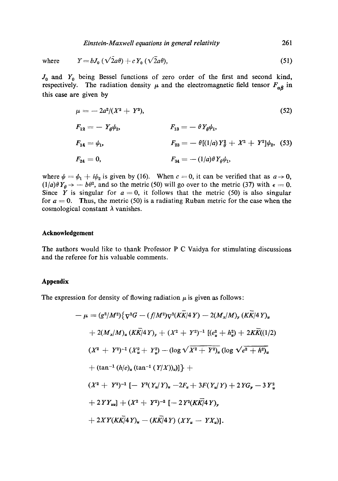*Einstein-Maxwell equations in general relativity* 261

where 
$$
Y = bJ_0 \left(\sqrt{2a\theta}\right) + cY_0 \left(\sqrt{2a\theta}\right),
$$
 (51)

 $J_0$  and  $Y_0$  being Bessel functions of zero order of the first and second kind, respectively. The radiation density  $\mu$  and the electromagnetic field tensor  $F_{\alpha\beta}$  in this case are given by

$$
\mu = -2a^2/(X^2 + Y^2),
$$
\n(52)  
\n
$$
F_{12} = -Y_{\theta}\psi_2,
$$
\n
$$
F_{13} = -\theta Y_{\theta}\psi_1,
$$
\n(53)  
\n
$$
F_{14} = \psi_1,
$$
\n
$$
F_{23} = -\theta[(1/a)Y_{\theta}^2 + X^2 + Y^2]\psi_2,
$$
\n(53)  
\n
$$
F_{24} = 0,
$$
\n
$$
F_{34} = -(1/a)\theta Y_{\theta}\psi_1,
$$

where  $\psi = \psi_1 + i\psi_2$  is given by (16). When  $c = 0$ , it can be verified that as  $a \to 0$ ,  $(1/a)\theta Y_{\theta} \rightarrow -b\theta^2$ , and so the metric (50) will go over to the metric (37) with  $\epsilon = 0$ . Since Y is singular for  $a = 0$ , it follows that the metric (50) is also singular for  $a = 0$ . Thus, the metric (50) is a radiating Ruban metric for the case when the cosmological constant  $\lambda$  vanishes.

## **Acknowledgement**

The authors would like to thank Professor P C Vaidya for stimulating discussions and the referee for his valuable comments.

## **Appendix**

The expression for density of flowing radiation  $\mu$  is given as follows:

$$
-\mu = (g^2/M^2)\{\nabla^2 G - (f/M^2)\nabla^2 (KK/4Y) - 2(M_x/M)_y (KK/4Y)_u
$$
  
+ 2(M\_x/M)\_u (K\overline{K}/4Y)\_y + (X^2 + Y^2)^{-1} [(e\_u^2 + h\_u^2) + 2K\overline{K}((1/2)  
(X^2 + Y^2)^{-1} (X\_u^2 + Y\_u^2) - (\log \sqrt{X^2 + Y^2})\_u (\log \sqrt{e^2 + h^2})\_u  
+ (tan<sup>-1</sup> (h/e)\_u (tan<sup>-1</sup> (Y/X))<sub>u</sub>)]\} +  
(X<sup>2</sup> + Y<sup>2</sup>)<sup>-1</sup> [- Y<sup>2</sup>(Y<sub>u</sub>/Y)\_u - 2F<sub>u</sub> + 3F(Y<sub>u</sub>/Y) + 2YG<sub>y</sub> - 3Y<sub>u</sub><sup>2</sup>  
+ 2YY<sub>uu</sub>] + (X<sup>2</sup> + Y<sup>2</sup>)<sup>-2</sup> [-2Y<sup>2</sup>(K\overline{K}/4Y),  
+ 2XY(K\overline{K}/4Y)\_u - (K\overline{K}/4Y) (XY\_u - YX\_u)].